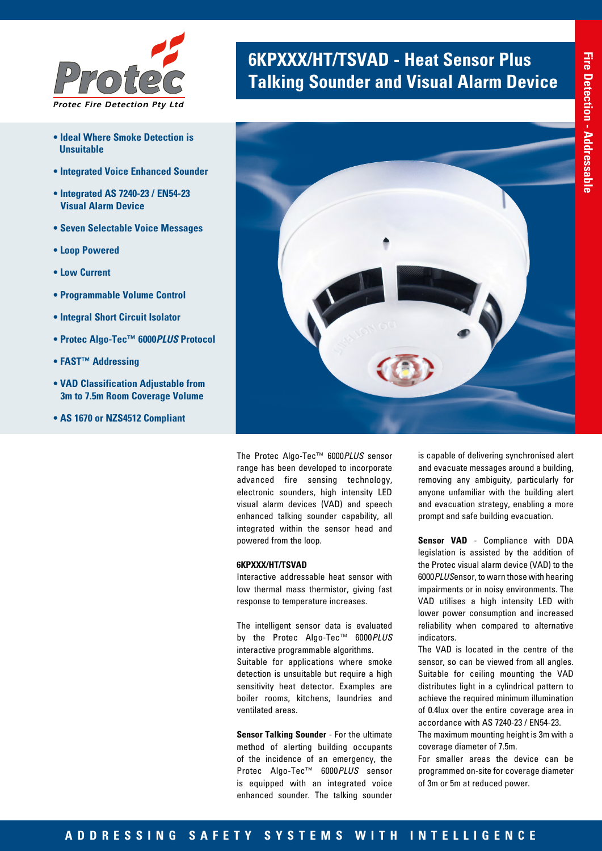

- **Ideal Where Smoke Detection is Unsuitable**
- **Integrated Voice Enhanced Sounder**
- **Integrated AS 7240-23 / EN54-23 Visual Alarm Device**
- **Seven Selectable Voice Messages**
- **Loop Powered**
- **Low Current**
- **Programmable Volume Control**
- **Integral Short Circuit Isolator**
- **Protec Algo-Tec™ 6000***PLUS* **Protocol**
- **FAST™ Addressing**
- **VAD Classification Adjustable from 3m to 7.5m Room Coverage Volume**
- **AS 1670 or NZS4512 Compliant**

# **6KPXXX/HT/TSVAD - Heat Sensor Plus<br><b>Talking Sounder and Visual Alarm Device**



The Protec Algo-Tec™ 6000*PLUS* sensor range has been developed to incorporate advanced fire sensing technology, electronic sounders, high intensity LED visual alarm devices (VAD) and speech enhanced talking sounder capability, all integrated within the sensor head and powered from the loop.

# **6KPXXX/HT/TSVAD**

Interactive addressable heat sensor with low thermal mass thermistor, giving fast response to temperature increases.

The intelligent sensor data is evaluated by the Protec Algo-Tec™ 6000*PLUS* interactive programmable algorithms. Suitable for applications where smoke detection is unsuitable but require a high sensitivity heat detector. Examples are boiler rooms, kitchens, laundries and ventilated areas.

**Sensor Talking Sounder** - For the ultimate method of alerting building occupants of the incidence of an emergency, the Protec Algo-Tec™ 6000*PLUS* sensor is equipped with an integrated voice enhanced sounder. The talking sounder

is capable of delivering synchronised alert and evacuate messages around a building, removing any ambiguity, particularly for anyone unfamiliar with the building alert and evacuation strategy, enabling a more prompt and safe building evacuation.

**Sensor VAD** - Compliance with DDA legislation is assisted by the addition of the Protec visual alarm device (VAD) to the 6000*PLUS*ensor, to warn those with hearing impairments or in noisy environments. The VAD utilises a high intensity LED with lower power consumption and increased reliability when compared to alternative indicators.

The VAD is located in the centre of the sensor, so can be viewed from all angles. Suitable for ceiling mounting the VAD distributes light in a cylindrical pattern to achieve the required minimum illumination of 0.4lux over the entire coverage area in accordance with AS 7240-23 / EN54-23.

The maximum mounting height is 3m with a coverage diameter of 7.5m.

For smaller areas the device can be programmed on-site for coverage diameter of 3m or 5m at reduced power.